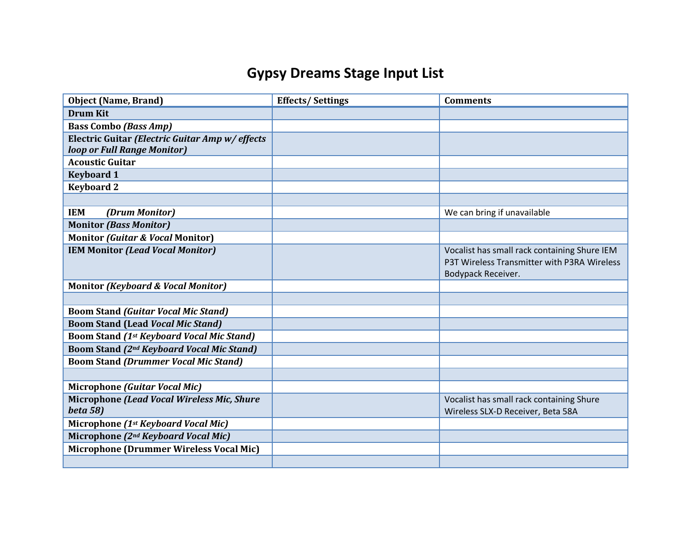## **Gypsy Dreams Stage Input List**

| <b>Object (Name, Brand)</b>                           | <b>Effects/Settings</b> | <b>Comments</b>                              |
|-------------------------------------------------------|-------------------------|----------------------------------------------|
| <b>Drum Kit</b>                                       |                         |                                              |
| <b>Bass Combo (Bass Amp)</b>                          |                         |                                              |
| Electric Guitar (Electric Guitar Amp w/ effects       |                         |                                              |
| loop or Full Range Monitor)                           |                         |                                              |
| <b>Acoustic Guitar</b>                                |                         |                                              |
| <b>Keyboard 1</b>                                     |                         |                                              |
| <b>Keyboard 2</b>                                     |                         |                                              |
|                                                       |                         |                                              |
| <b>IEM</b><br>(Drum Monitor)                          |                         | We can bring if unavailable                  |
| <b>Monitor (Bass Monitor)</b>                         |                         |                                              |
| <b>Monitor (Guitar &amp; Vocal Monitor)</b>           |                         |                                              |
| <b>IEM Monitor (Lead Vocal Monitor)</b>               |                         | Vocalist has small rack containing Shure IEM |
|                                                       |                         | P3T Wireless Transmitter with P3RA Wireless  |
|                                                       |                         | Bodypack Receiver.                           |
| <b>Monitor (Keyboard &amp; Vocal Monitor)</b>         |                         |                                              |
| <b>Boom Stand (Guitar Vocal Mic Stand)</b>            |                         |                                              |
| <b>Boom Stand (Lead Vocal Mic Stand)</b>              |                         |                                              |
| <b>Boom Stand (1st Keyboard Vocal Mic Stand)</b>      |                         |                                              |
| Boom Stand (2 <sup>nd</sup> Keyboard Vocal Mic Stand) |                         |                                              |
| <b>Boom Stand (Drummer Vocal Mic Stand)</b>           |                         |                                              |
|                                                       |                         |                                              |
| <b>Microphone (Guitar Vocal Mic)</b>                  |                         |                                              |
| Microphone (Lead Vocal Wireless Mic, Shure            |                         | Vocalist has small rack containing Shure     |
| <b>beta 58)</b>                                       |                         | Wireless SLX-D Receiver, Beta 58A            |
| Microphone (1st Keyboard Vocal Mic)                   |                         |                                              |
| Microphone (2 <sup>nd</sup> Keyboard Vocal Mic)       |                         |                                              |
| <b>Microphone (Drummer Wireless Vocal Mic)</b>        |                         |                                              |
|                                                       |                         |                                              |